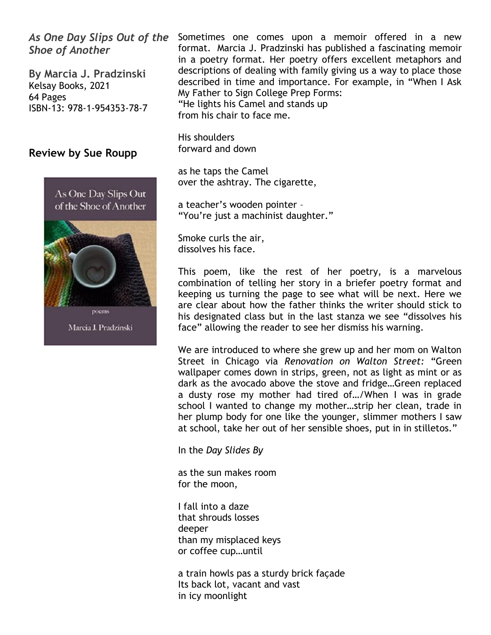*As One Day Slips Out of the Shoe of Another*

**By Marcia J. Pradzinski** Kelsay Books, 2021 64 Pages ISBN-13: 978-1-954353-78-7

## **Review by Sue Roupp**





Marcia J. Pradzinski

Sometimes one comes upon a memoir offered in a new format. Marcia J. Pradzinski has published a fascinating memoir in a poetry format. Her poetry offers excellent metaphors and descriptions of dealing with family giving us a way to place those described in time and importance. For example, in "When I Ask My Father to Sign College Prep Forms: "He lights his Camel and stands up from his chair to face me.

His shoulders forward and down

as he taps the Camel over the ashtray. The cigarette,

a teacher's wooden pointer – "You're just a machinist daughter."

Smoke curls the air, dissolves his face.

This poem, like the rest of her poetry, is a marvelous combination of telling her story in a briefer poetry format and keeping us turning the page to see what will be next. Here we are clear about how the father thinks the writer should stick to his designated class but in the last stanza we see "dissolves his face" allowing the reader to see her dismiss his warning.

We are introduced to where she grew up and her mom on Walton Street in Chicago via *Renovation on Walton Street:* "Green wallpaper comes down in strips, green, not as light as mint or as dark as the avocado above the stove and fridge…Green replaced a dusty rose my mother had tired of…/When I was in grade school I wanted to change my mother…strip her clean, trade in her plump body for one like the younger, slimmer mothers I saw at school, take her out of her sensible shoes, put in in stilletos."

In the *Day Slides By*

as the sun makes room for the moon,

I fall into a daze that shrouds losses deeper than my misplaced keys or coffee cup…until

a train howls pas a sturdy brick façade Its back lot, vacant and vast in icy moonlight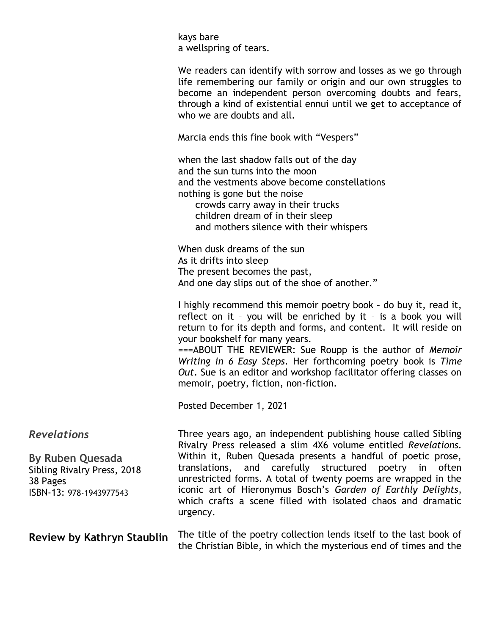| kays bare<br>a wellspring of tears.                                                                                                                                                                                                                                                               |
|---------------------------------------------------------------------------------------------------------------------------------------------------------------------------------------------------------------------------------------------------------------------------------------------------|
| We readers can identify with sorrow and losses as we go through<br>life remembering our family or origin and our own struggles to<br>become an independent person overcoming doubts and fears,<br>through a kind of existential ennui until we get to acceptance of<br>who we are doubts and all. |
| Marcia ends this fine book with "Vespers"                                                                                                                                                                                                                                                         |
|                                                                                                                                                                                                                                                                                                   |

when the last shadow falls out of the day and the sun turns into the moon and the vestments above become constellations nothing is gone but the noise crowds carry away in their trucks children dream of in their sleep and mothers silence with their whispers

When dusk dreams of the sun As it drifts into sleep The present becomes the past, And one day slips out of the shoe of another."

I highly recommend this memoir poetry book – do buy it, read it, reflect on it – you will be enriched by it – is a book you will return to for its depth and forms, and content. It will reside on your bookshelf for many years.

===ABOUT THE REVIEWER: Sue Roupp is the author of *Memoir Writing in 6 Easy Steps*. Her forthcoming poetry book is *Time Out*. Sue is an editor and workshop facilitator offering classes on memoir, poetry, fiction, non-fiction.

the Christian Bible, in which the mysterious end of times and the

Posted December 1, 2021

| <b>Revelations</b><br><b>By Ruben Quesada</b><br>Sibling Rivalry Press, 2018<br>38 Pages<br>ISBN-13: 978-1943977543 | Three years ago, an independent publishing house called Sibling<br>Rivalry Press released a slim 4X6 volume entitled Revelations.<br>Within it, Ruben Quesada presents a handful of poetic prose,<br>translations, and carefully structured poetry in often<br>unrestricted forms. A total of twenty poems are wrapped in the<br>iconic art of Hieronymus Bosch's Garden of Earthly Delights,<br>which crafts a scene filled with isolated chaos and dramatic<br>urgency. |
|---------------------------------------------------------------------------------------------------------------------|---------------------------------------------------------------------------------------------------------------------------------------------------------------------------------------------------------------------------------------------------------------------------------------------------------------------------------------------------------------------------------------------------------------------------------------------------------------------------|
| Review by Kathryn Staublin                                                                                          | The title of the poetry collection lends itself to the last book of                                                                                                                                                                                                                                                                                                                                                                                                       |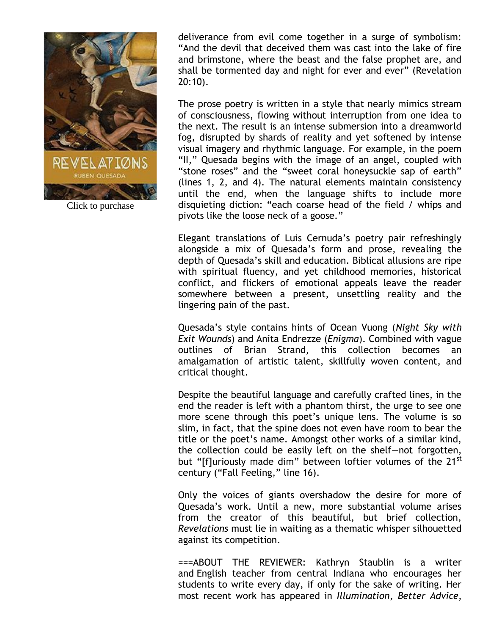

Click to purchase

deliverance from evil come together in a surge of symbolism: "And the devil that deceived them was cast into the lake of fire and brimstone, where the beast and the false prophet are, and shall be tormented day and night for ever and ever" (Revelation 20:10).

The prose poetry is written in a style that nearly mimics stream of consciousness, flowing without interruption from one idea to the next. The result is an intense submersion into a dreamworld fog, disrupted by shards of reality and yet softened by intense visual imagery and rhythmic language. For example, in the poem "II," Quesada begins with the image of an angel, coupled with "stone roses" and the "sweet coral honeysuckle sap of earth" (lines 1, 2, and 4). The natural elements maintain consistency until the end, when the language shifts to include more disquieting diction: "each coarse head of the field / whips and pivots like the loose neck of a goose."

Elegant translations of Luis Cernuda's poetry pair refreshingly alongside a mix of Quesada's form and prose, revealing the depth of Quesada's skill and education. Biblical allusions are ripe with spiritual fluency, and yet childhood memories, historical conflict, and flickers of emotional appeals leave the reader somewhere between a present, unsettling reality and the lingering pain of the past.

Quesada's style contains hints of Ocean Vuong (*Night Sky with Exit Wounds*) and Anita Endrezze (*Enigma*). Combined with vague outlines of Brian Strand, this collection becomes an amalgamation of artistic talent, skillfully woven content, and critical thought.

Despite the beautiful language and carefully crafted lines, in the end the reader is left with a phantom thirst, the urge to see one more scene through this poet's unique lens. The volume is so slim, in fact, that the spine does not even have room to bear the title or the poet's name. Amongst other works of a similar kind, the collection could be easily left on the shelf—not forgotten, but "[f]uriously made dim" between loftier volumes of the 21<sup>st</sup> century ("Fall Feeling," line 16).

Only the voices of giants overshadow the desire for more of Quesada's work. Until a new, more substantial volume arises from the creator of this beautiful, but brief collection, *Revelations* must lie in waiting as a thematic whisper silhouetted against its competition.

===ABOUT THE REVIEWER: Kathryn Staublin is a writer and English teacher from central Indiana who encourages her students to write every day, if only for the sake of writing. Her most recent work has appeared in *Illumination*, *Better Advice*,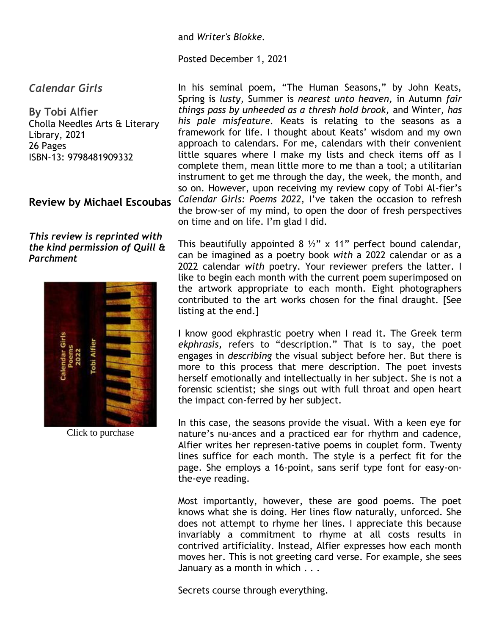#### and *Writer's Blokke.*

#### Posted December 1, 2021

## *Calendar Girls*

**By Tobi Alfier** Cholla Needles Arts & Literary Library, 2021 26 Pages ISBN-13: 9798481909332

## **Review by Michael Escoubas**

### *This review is reprinted with the kind permission of Quill & Parchment*



Click to purchase

In his seminal poem, "The Human Seasons," by John Keats, Spring is *lusty,* Summer is *nearest unto heaven,* in Autumn *fair things pass by unheeded as a thresh hold brook,* and Winter, *has his pale misfeature.* Keats is relating to the seasons as a framework for life. I thought about Keats' wisdom and my own approach to calendars. For me, calendars with their convenient little squares where I make my lists and check items off as I complete them, mean little more to me than a tool; a utilitarian instrument to get me through the day, the week, the month, and so on. However, upon receiving my review copy of Tobi Al-fier's *Calendar Girls: Poems 2022,* I've taken the occasion to refresh the brow-ser of my mind, to open the door of fresh perspectives on time and on life. I'm glad I did.

This beautifully appointed 8  $\frac{1}{2}$ " x 11" perfect bound calendar, can be imagined as a poetry book *with* a 2022 calendar or as a 2022 calendar *with* poetry. Your reviewer prefers the latter. I like to begin each month with the current poem superimposed on the artwork appropriate to each month. Eight photographers contributed to the art works chosen for the final draught. [See listing at the end.]

I know good ekphrastic poetry when I read it. The Greek term *ekphrasis,* refers to "description." That is to say, the poet engages in *describing* the visual subject before her. But there is more to this process that mere description. The poet invests herself emotionally and intellectually in her subject. She is not a forensic scientist; she sings out with full throat and open heart the impact con-ferred by her subject.

In this case, the seasons provide the visual. With a keen eye for nature's nu-ances and a practiced ear for rhythm and cadence, Alfier writes her represen-tative poems in couplet form. Twenty lines suffice for each month. The style is a perfect fit for the page. She employs a 16-point, sans serif type font for easy-onthe-eye reading.

Most importantly, however, these are good poems. The poet knows what she is doing. Her lines flow naturally, unforced. She does not attempt to rhyme her lines. I appreciate this because invariably a commitment to rhyme at all costs results in contrived artificiality. Instead, Alfier expresses how each month moves her. This is not greeting card verse. For example, she sees January as a month in which . . .

Secrets course through everything.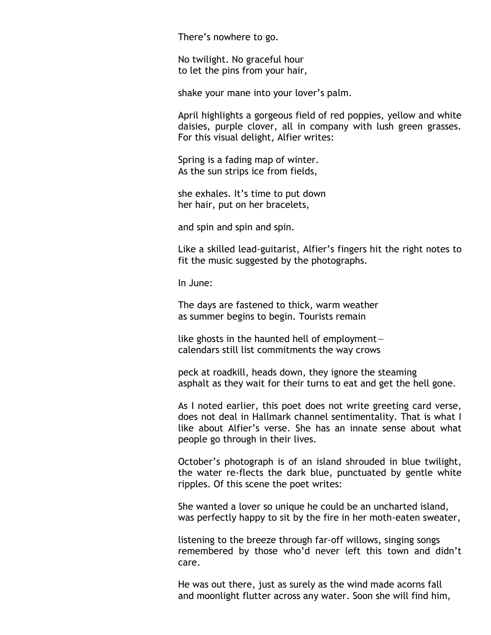There's nowhere to go.

No twilight. No graceful hour to let the pins from your hair,

shake your mane into your lover's palm.

April highlights a gorgeous field of red poppies, yellow and white daisies, purple clover, all in company with lush green grasses. For this visual delight, Alfier writes:

Spring is a fading map of winter. As the sun strips ice from fields,

she exhales. It's time to put down her hair, put on her bracelets,

and spin and spin and spin.

Like a skilled lead-guitarist, Alfier's fingers hit the right notes to fit the music suggested by the photographs.

In June:

The days are fastened to thick, warm weather as summer begins to begin. Tourists remain

like ghosts in the haunted hell of employment calendars still list commitments the way crows

peck at roadkill, heads down, they ignore the steaming asphalt as they wait for their turns to eat and get the hell gone.

As I noted earlier, this poet does not write greeting card verse, does not deal in Hallmark channel sentimentality. That is what I like about Alfier's verse. She has an innate sense about what people go through in their lives.

October's photograph is of an island shrouded in blue twilight, the water re-flects the dark blue, punctuated by gentle white ripples. Of this scene the poet writes:

She wanted a lover so unique he could be an uncharted island, was perfectly happy to sit by the fire in her moth-eaten sweater,

listening to the breeze through far-off willows, singing songs remembered by those who'd never left this town and didn't care.

He was out there, just as surely as the wind made acorns fall and moonlight flutter across any water. Soon she will find him,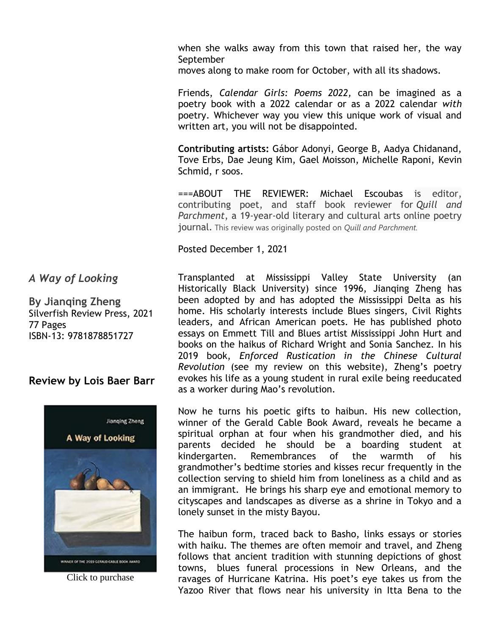when she walks away from this town that raised her, the way September

moves along to make room for October, with all its shadows.

Friends, *Calendar Girls: Poems 2022,* can be imagined as a poetry book with a 2022 calendar or as a 2022 calendar *with*  poetry. Whichever way you view this unique work of visual and written art, you will not be disappointed.

**Contributing artists:** Gábor Adonyi, George B, Aadya Chidanand, Tove Erbs, Dae Jeung Kim, Gael Moisson, Michelle Raponi, Kevin Schmid, r soos.

===ABOUT THE REVIEWER: Michael Escoubas is editor, contributing poet, and staff book reviewer for *Quill and Parchment*, a 19-year-old literary and cultural arts online poetry journal. This review was originally posted on *Quill and Parchment.*

Posted December 1, 2021

## *A Way of Looking*

**By Jianqing Zheng** Silverfish Review Press, 2021 77 Pages ISBN-13: 9781878851727

## **Review by Lois Baer Barr**



Click to purchase

Transplanted at Mississippi Valley State University (an Historically Black University) since 1996, Jianqing Zheng has been adopted by and has adopted the Mississippi Delta as his home. His scholarly interests include Blues singers, Civil Rights leaders, and African American poets. He has published photo essays on Emmett Till and Blues artist Mississippi John Hurt and books on the haikus of Richard Wright and Sonia Sanchez. In his 2019 book, *Enforced Rustication in the Chinese Cultural Revolution* (see my review on this website), Zheng's poetry evokes his life as a young student in rural exile being reeducated as a worker during Mao's revolution.

Now he turns his poetic gifts to haibun. His new collection, winner of the Gerald Cable Book Award, reveals he became a spiritual orphan at four when his grandmother died, and his parents decided he should be a boarding student at kindergarten. Remembrances of the warmth of his grandmother's bedtime stories and kisses recur frequently in the collection serving to shield him from loneliness as a child and as an immigrant. He brings his sharp eye and emotional memory to cityscapes and landscapes as diverse as a shrine in Tokyo and a lonely sunset in the misty Bayou.

The haibun form, traced back to Basho, links essays or stories with haiku. The themes are often memoir and travel, and Zheng follows that ancient tradition with stunning depictions of ghost towns, blues funeral processions in New Orleans, and the ravages of Hurricane Katrina. His poet's eye takes us from the Yazoo River that flows near his university in Itta Bena to the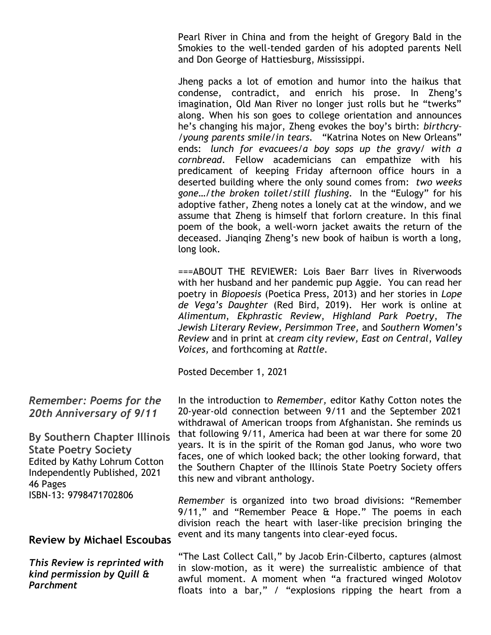Pearl River in China and from the height of Gregory Bald in the Smokies to the well-tended garden of his adopted parents Nell and Don George of Hattiesburg, Mississippi.

Jheng packs a lot of emotion and humor into the haikus that condense, contradict, and enrich his prose. In Zheng's imagination, Old Man River no longer just rolls but he "twerks" along. When his son goes to college orientation and announces he's changing his major, Zheng evokes the boy's birth: *birthcry– /young parents smile/in tears.* "Katrina Notes on New Orleans" ends: *lunch for evacuees/a boy sops up the gravy/ with a cornbread*. Fellow academicians can empathize with his predicament of keeping Friday afternoon office hours in a deserted building where the only sound comes from: *two weeks gone…/the broken toilet/still flushing.* In the "Eulogy" for his adoptive father, Zheng notes a lonely cat at the window, and we assume that Zheng is himself that forlorn creature. In this final poem of the book, a well-worn jacket awaits the return of the deceased. Jianqing Zheng's new book of haibun is worth a long, long look.

===ABOUT THE REVIEWER: Lois Baer Barr lives in Riverwoods with her husband and her pandemic pup Aggie. You can read her poetry in *Biopoesis* (Poetica Press, 2013) and her stories in *Lope de Vega's Daughter* (Red Bird, 2019). Her work is online at *Alimentum*, *Ekphrastic Review*, *Highland Park Poetry*, *The Jewish Literary Review, Persimmon Tree,* and *Southern Women's Review* and in print at *cream city review, East on Central*, *Valley Voices,* and forthcoming at *Rattle.*

Posted December 1, 2021

In the introduction to *Remember,* editor Kathy Cotton notes the 20-year-old connection between 9/11 and the September 2021 withdrawal of American troops from Afghanistan. She reminds us that following 9/11, America had been at war there for some 20 years. It is in the spirit of the Roman god Janus, who wore two faces, one of which looked back; the other looking forward, that the Southern Chapter of the Illinois State Poetry Society offers this new and vibrant anthology.

*Remember* is organized into two broad divisions: "Remember 9/11," and "Remember Peace & Hope." The poems in each division reach the heart with laser-like precision bringing the event and its many tangents into clear-eyed focus.

"The Last Collect Call," by Jacob Erin-Cilberto, captures (almost in slow-motion, as it were) the surrealistic ambience of that awful moment. A moment when "a fractured winged Molotov floats into a bar," / "explosions ripping the heart from a

## *Remember: Poems for the 20th Anniversary of 9/11*

**By Southern Chapter Illinois State Poetry Society** Edited by Kathy Lohrum Cotton Independently Published, 2021 46 Pages ISBN-13: 9798471702806

# **Review by Michael Escoubas**

*This Review is reprinted with kind permission by Quill & Parchment*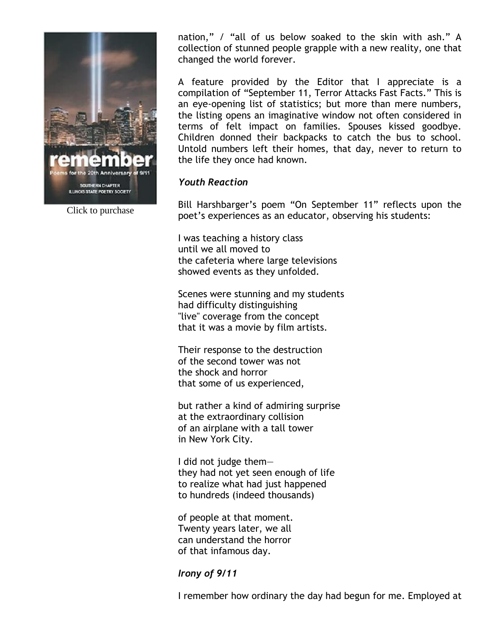

Click to purchase

nation," / "all of us below soaked to the skin with ash." A collection of stunned people grapple with a new reality, one that changed the world forever.

A feature provided by the Editor that I appreciate is a compilation of "September 11, Terror Attacks Fast Facts." This is an eye-opening list of statistics; but more than mere numbers, the listing opens an imaginative window not often considered in terms of felt impact on families. Spouses kissed goodbye. Children donned their backpacks to catch the bus to school. Untold numbers left their homes, that day, never to return to the life they once had known.

### *Youth Reaction*

Bill Harshbarger's poem "On September 11" reflects upon the poet's experiences as an educator, observing his students:

I was teaching a history class until we all moved to the cafeteria where large televisions showed events as they unfolded.

Scenes were stunning and my students had difficulty distinguishing "live" coverage from the concept that it was a movie by film artists.

Their response to the destruction of the second tower was not the shock and horror that some of us experienced,

but rather a kind of admiring surprise at the extraordinary collision of an airplane with a tall tower in New York City.

I did not judge them they had not yet seen enough of life to realize what had just happened to hundreds (indeed thousands)

of people at that moment. Twenty years later, we all can understand the horror of that infamous day.

### *Irony of 9/11*

I remember how ordinary the day had begun for me. Employed at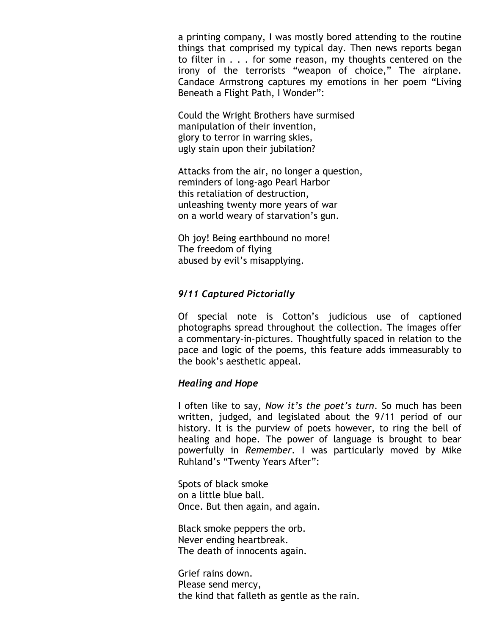a printing company, I was mostly bored attending to the routine things that comprised my typical day. Then news reports began to filter in . . . for some reason, my thoughts centered on the irony of the terrorists "weapon of choice," The airplane. Candace Armstrong captures my emotions in her poem "Living Beneath a Flight Path, I Wonder":

Could the Wright Brothers have surmised manipulation of their invention, glory to terror in warring skies, ugly stain upon their jubilation?

Attacks from the air, no longer a question, reminders of long-ago Pearl Harbor this retaliation of destruction, unleashing twenty more years of war on a world weary of starvation's gun.

Oh joy! Being earthbound no more! The freedom of flying abused by evil's misapplying.

## *9/11 Captured Pictorially*

Of special note is Cotton's judicious use of captioned photographs spread throughout the collection. The images offer a commentary-in-pictures. Thoughtfully spaced in relation to the pace and logic of the poems, this feature adds immeasurably to the book's aesthetic appeal.

### *Healing and Hope*

I often like to say, *Now it's the poet's turn*. So much has been written, judged, and legislated about the 9/11 period of our history. It is the purview of poets however, to ring the bell of healing and hope. The power of language is brought to bear powerfully in *Remember*. I was particularly moved by Mike Ruhland's "Twenty Years After":

Spots of black smoke on a little blue ball. Once. But then again, and again.

Black smoke peppers the orb. Never ending heartbreak. The death of innocents again.

Grief rains down. Please send mercy, the kind that falleth as gentle as the rain.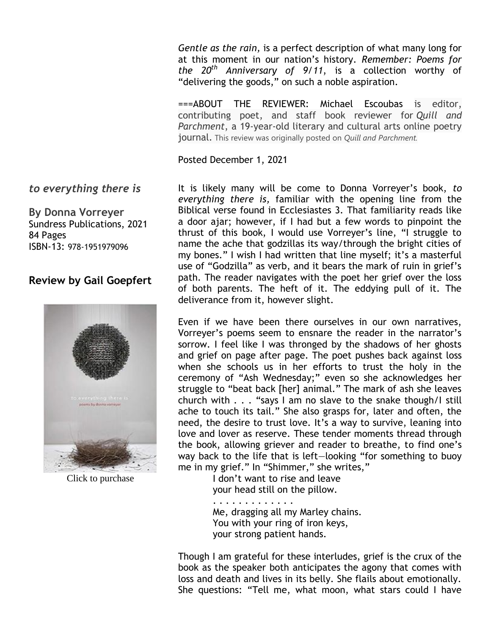*Gentle as the rain,* is a perfect description of what many long for at this moment in our nation's history. *Remember: Poems for the 20th Anniversary of 9/11*, is a collection worthy of "delivering the goods," on such a noble aspiration.

===ABOUT THE REVIEWER: Michael Escoubas is editor, contributing poet, and staff book reviewer for *Quill and Parchment*, a 19-year-old literary and cultural arts online poetry journal. This review was originally posted on *Quill and Parchment.*

Posted December 1, 2021

It is likely many will be come to Donna Vorreyer's book, *to everything there is,* familiar with the opening line from the Biblical verse found in Ecclesiastes 3. That familiarity reads like a door ajar; however, if I had but a few words to pinpoint the thrust of this book, I would use Vorreyer's line, "I struggle to name the ache that godzillas its way/through the bright cities of my bones." I wish I had written that line myself; it's a masterful use of "Godzilla" as verb, and it bears the mark of ruin in grief's path. The reader navigates with the poet her grief over the loss of both parents. The heft of it. The eddying pull of it. The deliverance from it, however slight.

Even if we have been there ourselves in our own narratives, Vorreyer's poems seem to ensnare the reader in the narrator's sorrow. I feel like I was thronged by the shadows of her ghosts and grief on page after page. The poet pushes back against loss when she schools us in her efforts to trust the holy in the ceremony of "Ash Wednesday;" even so she acknowledges her struggle to "beat back [her] animal." The mark of ash she leaves church with . . . "says I am no slave to the snake though/I still ache to touch its tail." She also grasps for, later and often, the need, the desire to trust love. It's a way to survive, leaning into love and lover as reserve. These tender moments thread through the book, allowing griever and reader to breathe, to find one's way back to the life that is left—looking "for something to buoy me in my grief." In "Shimmer," she writes,"

 I don't want to rise and leave your head still on the pillow.

 . . . . . . . . . . . . . Me, dragging all my Marley chains. You with your ring of iron keys, your strong patient hands.

Though I am grateful for these interludes, grief is the crux of the book as the speaker both anticipates the agony that comes with loss and death and lives in its belly. She flails about emotionally. She questions: "Tell me, what moon, what stars could I have

## *to everything there is*

**By Donna Vorreyer** Sundress Publications, 2021 84 Pages ISBN-13: 978-1951979096

# **Review by Gail Goepfert**



Click to purchase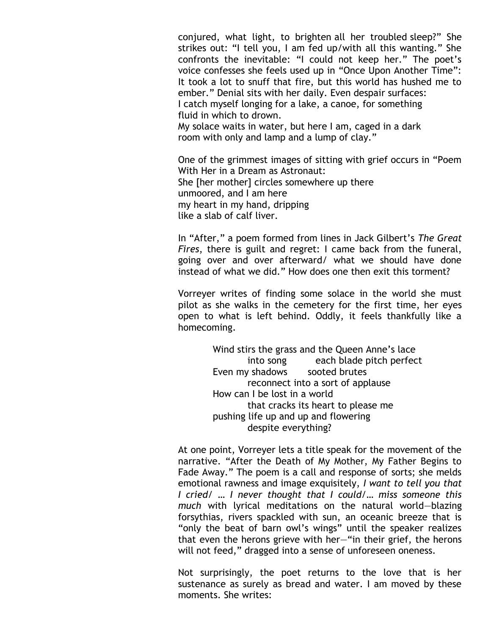conjured, what light, to brighten all her troubled sleep?" She strikes out: "I tell you, I am fed up/with all this wanting." She confronts the inevitable: "I could not keep her." The poet's voice confesses she feels used up in "Once Upon Another Time": It took a lot to snuff that fire, but this world has hushed me to ember." Denial sits with her daily. Even despair surfaces: I catch myself longing for a lake, a canoe, for something fluid in which to drown. My solace waits in water, but here I am, caged in a dark room with only and lamp and a lump of clay."

One of the grimmest images of sitting with grief occurs in "Poem With Her in a Dream as Astronaut: She [her mother] circles somewhere up there unmoored, and I am here my heart in my hand, dripping like a slab of calf liver.

In "After," a poem formed from lines in Jack Gilbert's *The Great Fires*, there is guilt and regret: I came back from the funeral, going over and over afterward/ what we should have done instead of what we did." How does one then exit this torment?

Vorreyer writes of finding some solace in the world she must pilot as she walks in the cemetery for the first time, her eyes open to what is left behind. Oddly, it feels thankfully like a homecoming.

> Wind stirs the grass and the Queen Anne's lace into song each blade pitch perfect Even my shadows sooted brutes reconnect into a sort of applause How can I be lost in a world that cracks its heart to please me pushing life up and up and flowering despite everything?

At one point, Vorreyer lets a title speak for the movement of the narrative. "After the Death of My Mother, My Father Begins to Fade Away." The poem is a call and response of sorts; she melds emotional rawness and image exquisitely, *I want to tell you that I cried/ … I never thought that I could/… miss someone this much* with lyrical meditations on the natural world—blazing forsythias, rivers spackled with sun, an oceanic breeze that is "only the beat of barn owl's wings" until the speaker realizes that even the herons grieve with her—"in their grief, the herons will not feed," dragged into a sense of unforeseen oneness.

Not surprisingly, the poet returns to the love that is her sustenance as surely as bread and water. I am moved by these moments. She writes: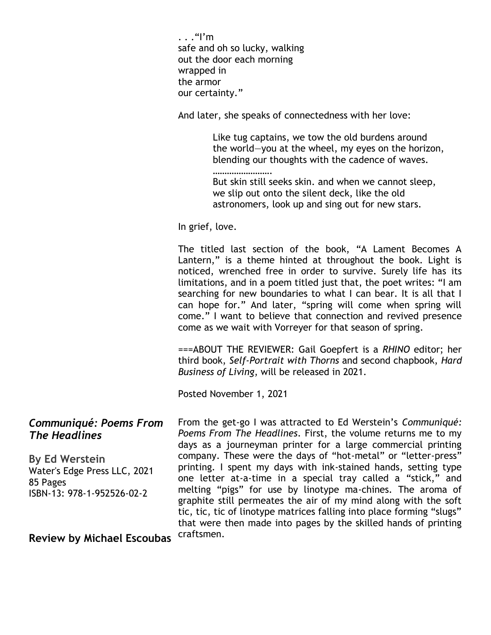$\ldots$ "I'm safe and oh so lucky, walking out the door each morning wrapped in the armor our certainty."

………………………

And later, she speaks of connectedness with her love:

 Like tug captains, we tow the old burdens around the world—you at the wheel, my eyes on the horizon, blending our thoughts with the cadence of waves.

 But skin still seeks skin. and when we cannot sleep, we slip out onto the silent deck, like the old astronomers, look up and sing out for new stars.

In grief, love.

The titled last section of the book, "A Lament Becomes A Lantern," is a theme hinted at throughout the book. Light is noticed, wrenched free in order to survive. Surely life has its limitations, and in a poem titled just that, the poet writes: "I am searching for new boundaries to what I can bear. It is all that I can hope for." And later, "spring will come when spring will come." I want to believe that connection and revived presence come as we wait with Vorreyer for that season of spring.

===ABOUT THE REVIEWER: Gail Goepfert is a *RHINO* editor; her third book, *Self-Portrait with Thorns* and second chapbook, *Hard Business of Living*, will be released in 2021.

Posted November 1, 2021

*Communiqué: Poems From The Headlines* **By Ed Werstein** Water's Edge Press LLC, 2021 85 Pages ISBN-13: 978-1-952526-02-2 **Review by Michael Escoubas** From the get-go I was attracted to Ed Werstein's *Communiqué: Poems From The Headlines*. First, the volume returns me to my days as a journeyman printer for a large commercial printing company. These were the days of "hot-metal" or "letter-press" printing. I spent my days with ink-stained hands, setting type one letter at-a-time in a special tray called a "stick," and melting "pigs" for use by linotype ma-chines. The aroma of graphite still permeates the air of my mind along with the soft tic, tic, tic of linotype matrices falling into place forming "slugs" that were then made into pages by the skilled hands of printing craftsmen.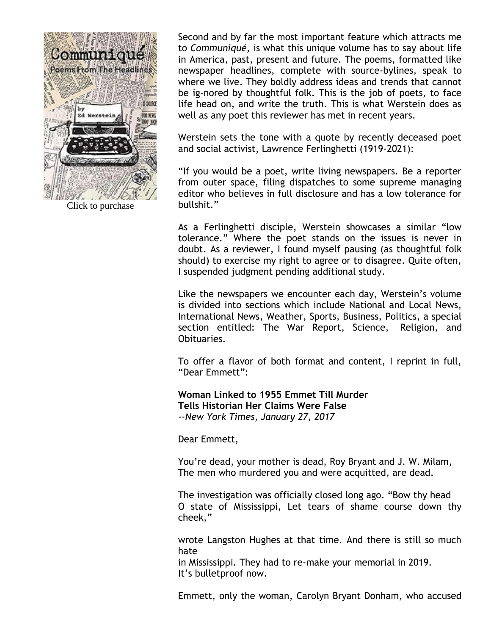

Click to purchase

Second and by far the most important feature which attracts me to *Communiqué,* is what this unique volume has to say about life in America, past, present and future. The poems, formatted like newspaper headlines, complete with source-bylines, speak to where we live. They boldly address ideas and trends that cannot be ig-nored by thoughtful folk. This is the job of poets, to face life head on, and write the truth. This is what Werstein does as well as any poet this reviewer has met in recent years.

Werstein sets the tone with a quote by recently deceased poet and social activist, Lawrence Ferlinghetti (1919-2021):

"If you would be a poet, write living newspapers. Be a reporter from outer space, filing dispatches to some supreme managing editor who believes in full disclosure and has a low tolerance for bullshit."

As a Ferlinghetti disciple, Werstein showcases a similar "low tolerance." Where the poet stands on the issues is never in doubt. As a reviewer, I found myself pausing (as thoughtful folk should) to exercise my right to agree or to disagree. Quite often, I suspended judgment pending additional study.

Like the newspapers we encounter each day, Werstein's volume is divided into sections which include National and Local News, International News, Weather, Sports, Business, Politics, a special section entitled: The War Report, Science, Religion, and Obituaries.

To offer a flavor of both format and content, I reprint in full, "Dear Emmett":

**Woman Linked to 1955 Emmet Till Murder Tells Historian Her Claims Were False** *--New York Times, January 27, 2017*

Dear Emmett,

You're dead, your mother is dead, Roy Bryant and J. W. Milam, The men who murdered you and were acquitted, are dead.

The investigation was officially closed long ago. "Bow thy head O state of Mississippi, Let tears of shame course down thy cheek,"

wrote Langston Hughes at that time. And there is still so much hate

in Mississippi. They had to re-make your memorial in 2019. It's bulletproof now.

Emmett, only the woman, Carolyn Bryant Donham, who accused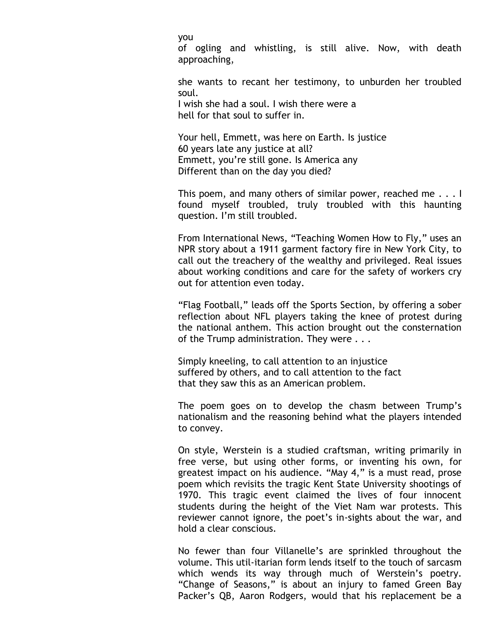you

of ogling and whistling, is still alive. Now, with death approaching,

she wants to recant her testimony, to unburden her troubled soul.

I wish she had a soul. I wish there were a hell for that soul to suffer in.

Your hell, Emmett, was here on Earth. Is justice 60 years late any justice at all? Emmett, you're still gone. Is America any Different than on the day you died?

This poem, and many others of similar power, reached me . . . I found myself troubled, truly troubled with this haunting question. I'm still troubled.

From International News, "Teaching Women How to Fly," uses an NPR story about a 1911 garment factory fire in New York City, to call out the treachery of the wealthy and privileged. Real issues about working conditions and care for the safety of workers cry out for attention even today.

"Flag Football," leads off the Sports Section, by offering a sober reflection about NFL players taking the knee of protest during the national anthem. This action brought out the consternation of the Trump administration. They were . . .

Simply kneeling, to call attention to an injustice suffered by others, and to call attention to the fact that they saw this as an American problem.

The poem goes on to develop the chasm between Trump's nationalism and the reasoning behind what the players intended to convey.

On style, Werstein is a studied craftsman, writing primarily in free verse, but using other forms, or inventing his own, for greatest impact on his audience. "May 4," is a must read, prose poem which revisits the tragic Kent State University shootings of 1970. This tragic event claimed the lives of four innocent students during the height of the Viet Nam war protests. This reviewer cannot ignore, the poet's in-sights about the war, and hold a clear conscious.

No fewer than four Villanelle's are sprinkled throughout the volume. This util-itarian form lends itself to the touch of sarcasm which wends its way through much of Werstein's poetry. "Change of Seasons," is about an injury to famed Green Bay Packer's QB, Aaron Rodgers, would that his replacement be a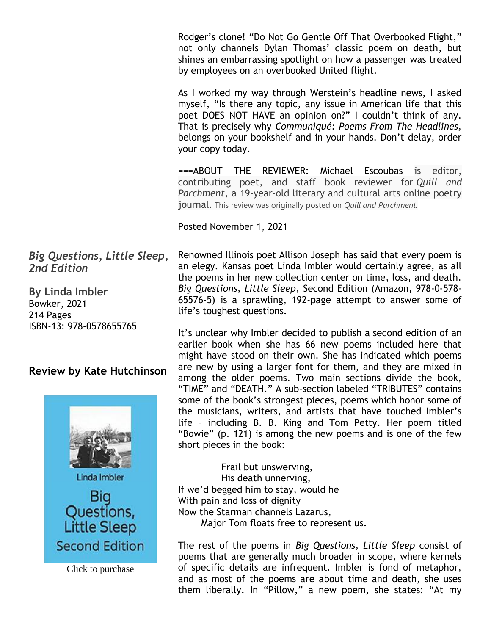Rodger's clone! "Do Not Go Gentle Off That Overbooked Flight," not only channels Dylan Thomas' classic poem on death, but shines an embarrassing spotlight on how a passenger was treated by employees on an overbooked United flight.

As I worked my way through Werstein's headline news, I asked myself, "Is there any topic, any issue in American life that this poet DOES NOT HAVE an opinion on?" I couldn't think of any. That is precisely why *Communiqué: Poems From The Headlines,*  belongs on your bookshelf and in your hands. Don't delay, order your copy today.

===ABOUT THE REVIEWER: Michael Escoubas is editor, contributing poet, and staff book reviewer for *Quill and Parchment*, a 19-year-old literary and cultural arts online poetry journal. This review was originally posted on *Quill and Parchment.*

Posted November 1, 2021

Renowned Illinois poet Allison Joseph has said that every poem is an elegy. Kansas poet Linda Imbler would certainly agree, as all the poems in her new collection center on time, loss, and death. *Big Questions, Little Sleep*, Second Edition (Amazon, 978-0-578- 65576-5) is a sprawling, 192-page attempt to answer some of life's toughest questions.

It's unclear why Imbler decided to publish a second edition of an earlier book when she has 66 new poems included here that might have stood on their own. She has indicated which poems are new by using a larger font for them, and they are mixed in among the older poems. Two main sections divide the book, "TIME" and "DEATH." A sub-section labeled "TRIBUTES" contains some of the book's strongest pieces, poems which honor some of the musicians, writers, and artists that have touched Imbler's life – including B. B. King and Tom Petty. Her poem titled "Bowie" (p. 121) is among the new poems and is one of the few short pieces in the book:

 Frail but unswerving, His death unnerving, If we'd begged him to stay, would he With pain and loss of dignity Now the Starman channels Lazarus, Major Tom floats free to represent us.

The rest of the poems in *Big Questions, Little Sleep* consist of poems that are generally much broader in scope, where kernels of specific details are infrequent. Imbler is fond of metaphor, and as most of the poems are about time and death, she uses them liberally. In "Pillow," a new poem, she states: "At my

*Big Questions, Little Sleep, 2nd Edition*

**By Linda Imbler** Bowker, 2021 214 Pages ISBN-13: 978-0578655765

# **Review by Kate Hutchinson**

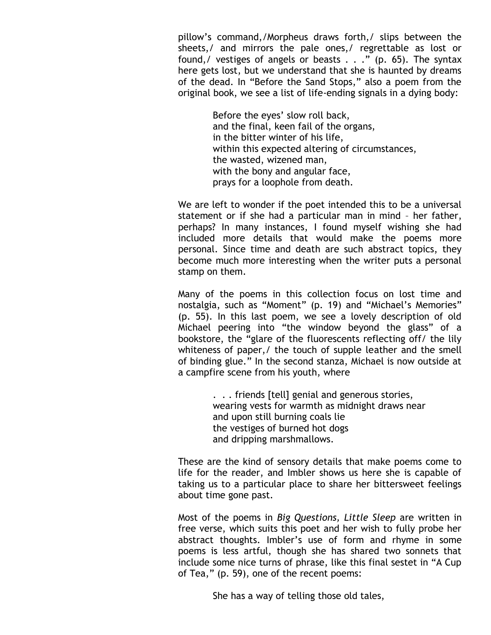pillow's command,/Morpheus draws forth,/ slips between the sheets,/ and mirrors the pale ones,/ regrettable as lost or found, / vestiges of angels or beasts  $\ldots$  . . . . . . . . . . . The syntax here gets lost, but we understand that she is haunted by dreams of the dead. In "Before the Sand Stops," also a poem from the original book, we see a list of life-ending signals in a dying body:

> Before the eyes' slow roll back, and the final, keen fail of the organs, in the bitter winter of his life, within this expected altering of circumstances, the wasted, wizened man, with the bony and angular face, prays for a loophole from death.

We are left to wonder if the poet intended this to be a universal statement or if she had a particular man in mind – her father, perhaps? In many instances, I found myself wishing she had included more details that would make the poems more personal. Since time and death are such abstract topics, they become much more interesting when the writer puts a personal stamp on them.

Many of the poems in this collection focus on lost time and nostalgia, such as "Moment" (p. 19) and "Michael's Memories" (p. 55). In this last poem, we see a lovely description of old Michael peering into "the window beyond the glass" of a bookstore, the "glare of the fluorescents reflecting off/ the lily whiteness of paper,/ the touch of supple leather and the smell of binding glue." In the second stanza, Michael is now outside at a campfire scene from his youth, where

> . . . friends [tell] genial and generous stories, wearing vests for warmth as midnight draws near and upon still burning coals lie the vestiges of burned hot dogs and dripping marshmallows.

These are the kind of sensory details that make poems come to life for the reader, and Imbler shows us here she is capable of taking us to a particular place to share her bittersweet feelings about time gone past.

Most of the poems in *Big Questions, Little Sleep* are written in free verse, which suits this poet and her wish to fully probe her abstract thoughts. Imbler's use of form and rhyme in some poems is less artful, though she has shared two sonnets that include some nice turns of phrase, like this final sestet in "A Cup of Tea," (p. 59), one of the recent poems:

She has a way of telling those old tales,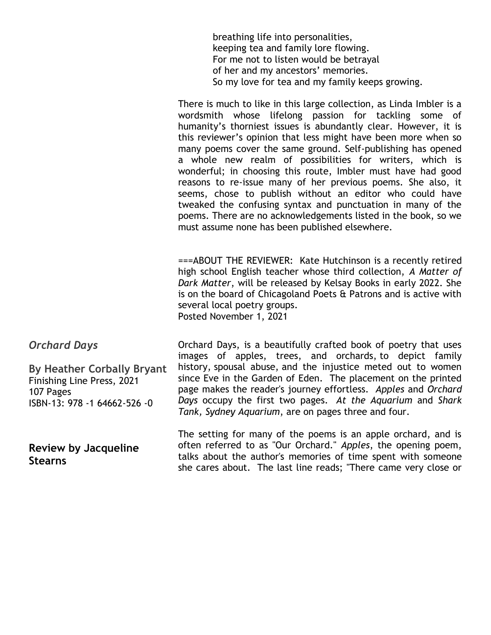breathing life into personalities, keeping tea and family lore flowing. For me not to listen would be betrayal of her and my ancestors' memories. So my love for tea and my family keeps growing.

There is much to like in this large collection, as Linda Imbler is a wordsmith whose lifelong passion for tackling some of humanity's thorniest issues is abundantly clear. However, it is this reviewer's opinion that less might have been more when so many poems cover the same ground. Self-publishing has opened a whole new realm of possibilities for writers, which is wonderful; in choosing this route, Imbler must have had good reasons to re-issue many of her previous poems. She also, it seems, chose to publish without an editor who could have tweaked the confusing syntax and punctuation in many of the poems. There are no acknowledgements listed in the book, so we must assume none has been published elsewhere.

===ABOUT THE REVIEWER: Kate Hutchinson is a recently retired high school English teacher whose third collection, *A Matter of Dark Matter*, will be released by Kelsay Books in early 2022. She is on the board of Chicagoland Poets & Patrons and is active with several local poetry groups. Posted November 1, 2021

*Orchard Days*

**By Heather Corbally Bryant** Finishing Line Press, 2021 107 Pages ISBN-13: 978 -1 64662-526 -0

**Review by Jacqueline Stearns**

Orchard Days, is a beautifully crafted book of poetry that uses images of apples, trees, and orchards, to depict family history, spousal abuse, and the injustice meted out to women since Eve in the Garden of Eden. The placement on the printed page makes the reader's journey effortless. *Apples* and *Orchard Days* occupy the first two pages. *At the Aquarium* and *Shark Tank, Sydney Aquarium*, are on pages three and four.

The setting for many of the poems is an apple orchard, and is often referred to as "Our Orchard." *Apples*, the opening poem, talks about the author's memories of time spent with someone she cares about. The last line reads; "There came very close or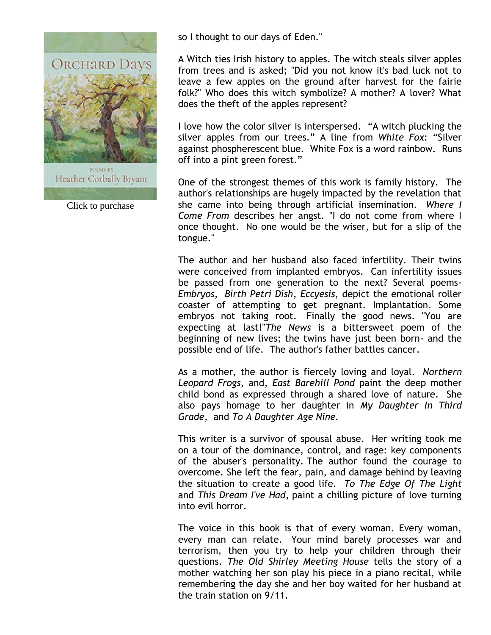

Click to purchase

so I thought to our days of Eden."

A Witch ties Irish history to apples. The witch steals silver apples from trees and is asked; "Did you not know it's bad luck not to leave a few apples on the ground after harvest for the fairie folk?" Who does this witch symbolize? A mother? A lover? What does the theft of the apples represent?

I love how the color silver is interspersed. "A witch plucking the silver apples from our trees." A line from *White Fox*: "Silver against phospherescent blue. White Fox is a word rainbow. Runs off into a pint green forest."

One of the strongest themes of this work is family history. The author's relationships are hugely impacted by the revelation that she came into being through artificial insemination. *Where I Come From* describes her angst. "I do not come from where I once thought. No one would be the wiser, but for a slip of the tongue."

The author and her husband also faced infertility. Their twins were conceived from implanted embryos. Can infertility issues be passed from one generation to the next? Several poems-*Embryos*, *Birth Petri Dish*, *Eccyesis*, depict the emotional roller coaster of attempting to get pregnant. Implantation. Some embryos not taking root. Finally the good news. "You are expecting at last!"*The News* is a bittersweet poem of the beginning of new lives; the twins have just been born- and the possible end of life. The author's father battles cancer.

As a mother, the author is fiercely loving and loyal. *Northern Leopard Frogs*, and, *East Barehill Pond* paint the deep mother child bond as expressed through a shared love of nature. She also pays homage to her daughter in *My Daughter In Third Grade*, and *To A Daughter Age Nine.*

This writer is a survivor of spousal abuse. Her writing took me on a tour of the dominance, control, and rage: key components of the abuser's personality. The author found the courage to overcome. She left the fear, pain, and damage behind by leaving the situation to create a good life. *To The Edge Of The Light* and *This Dream I've Had*, paint a chilling picture of love turning into evil horror.

The voice in this book is that of every woman. Every woman, every man can relate. Your mind barely processes war and terrorism, then you try to help your children through their questions. *The Old Shirley Meeting House* tells the story of a mother watching her son play his piece in a piano recital, while remembering the day she and her boy waited for her husband at the train station on 9/11.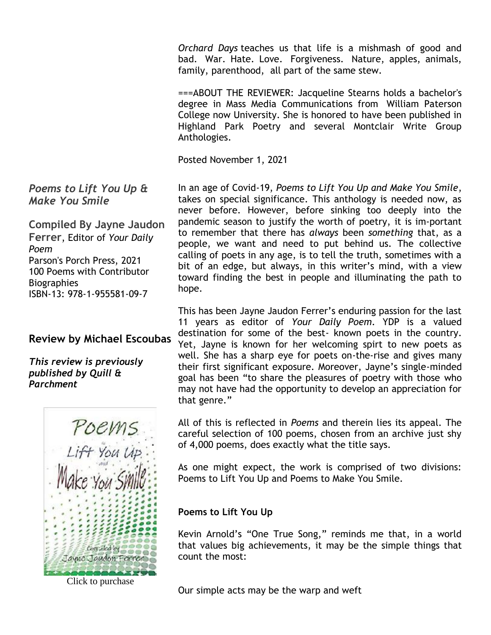*Orchard Days* teaches us that life is a mishmash of good and bad. War. Hate. Love. Forgiveness. Nature, apples, animals, family, parenthood, all part of the same stew.

===ABOUT THE REVIEWER: Jacqueline Stearns holds a bachelor's degree in Mass Media Communications from William Paterson College now University. She is honored to have been published in Highland Park Poetry and several Montclair Write Group Anthologies.

Posted November 1, 2021

In an age of Covid-19, *Poems to Lift You Up and Make You Smile*, takes on special significance. This anthology is needed now, as never before. However, before sinking too deeply into the pandemic season to justify the worth of poetry, it is im-portant to remember that there has *always* been *something* that, as a people, we want and need to put behind us. The collective calling of poets in any age, is to tell the truth, sometimes with a bit of an edge, but always, in this writer's mind, with a view toward finding the best in people and illuminating the path to hope.

This has been Jayne Jaudon Ferrer's enduring passion for the last 11 years as editor of *Your Daily Poem*. YDP is a valued destination for some of the best- known poets in the country. Yet, Jayne is known for her welcoming spirt to new poets as well. She has a sharp eye for poets on-the-rise and gives many their first significant exposure. Moreover, Jayne's single-minded goal has been "to share the pleasures of poetry with those who may not have had the opportunity to develop an appreciation for that genre."

All of this is reflected in *Poems* and therein lies its appeal. The careful selection of 100 poems, chosen from an archive just shy of 4,000 poems, does exactly what the title says.

As one might expect, the work is comprised of two divisions: Poems to Lift You Up and Poems to Make You Smile.

**Poems to Lift You Up**

Kevin Arnold's "One True Song," reminds me that, in a world that values big achievements, it may be the simple things that count the most:

Our simple acts may be the warp and weft

*Poems to Lift You Up & Make You Smile*

**Compiled By Jayne Jaudon Ferrer**, Editor of *Your Daily Poem* Parson's Porch Press, 2021 100 Poems with Contributor **Biographies** ISBN-13: 978-1-955581-09-7

# **Review by Michael Escoubas**

*This review is previously published by Quill & Parchment*



Click to purchase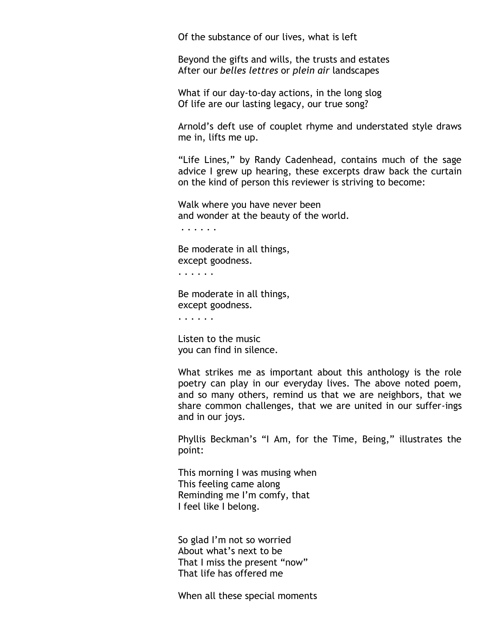Of the substance of our lives, what is left

Beyond the gifts and wills, the trusts and estates After our *belles lettres* or *plein air* landscapes

What if our day-to-day actions, in the long slog Of life are our lasting legacy, our true song?

Arnold's deft use of couplet rhyme and understated style draws me in, lifts me up.

"Life Lines," by Randy Cadenhead, contains much of the sage advice I grew up hearing, these excerpts draw back the curtain on the kind of person this reviewer is striving to become:

Walk where you have never been and wonder at the beauty of the world.

. . . . . .

Be moderate in all things, except goodness.

. . . . . .

Be moderate in all things, except goodness.

. . . . . .

Listen to the music you can find in silence.

What strikes me as important about this anthology is the role poetry can play in our everyday lives. The above noted poem, and so many others, remind us that we are neighbors, that we share common challenges, that we are united in our suffer-ings and in our joys.

Phyllis Beckman's "I Am, for the Time, Being," illustrates the point:

This morning I was musing when This feeling came along Reminding me I'm comfy, that I feel like I belong.

So glad I'm not so worried About what's next to be That I miss the present "now" That life has offered me

When all these special moments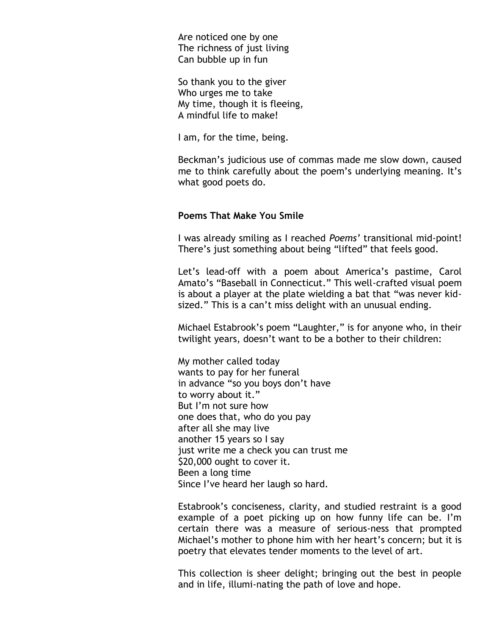Are noticed one by one The richness of just living Can bubble up in fun

So thank you to the giver Who urges me to take My time, though it is fleeing, A mindful life to make!

I am, for the time, being.

Beckman's judicious use of commas made me slow down, caused me to think carefully about the poem's underlying meaning. It's what good poets do.

#### **Poems That Make You Smile**

I was already smiling as I reached *Poems'* transitional mid-point! There's just something about being "lifted" that feels good.

Let's lead-off with a poem about America's pastime, Carol Amato's "Baseball in Connecticut." This well-crafted visual poem is about a player at the plate wielding a bat that "was never kidsized." This is a can't miss delight with an unusual ending.

Michael Estabrook's poem "Laughter," is for anyone who, in their twilight years, doesn't want to be a bother to their children:

My mother called today wants to pay for her funeral in advance "so you boys don't have to worry about it." But I'm not sure how one does that, who do you pay after all she may live another 15 years so I say just write me a check you can trust me \$20,000 ought to cover it. Been a long time Since I've heard her laugh so hard.

Estabrook's conciseness, clarity, and studied restraint is a good example of a poet picking up on how funny life can be. I'm certain there was a measure of serious-ness that prompted Michael's mother to phone him with her heart's concern; but it is poetry that elevates tender moments to the level of art.

This collection is sheer delight; bringing out the best in people and in life, illumi-nating the path of love and hope.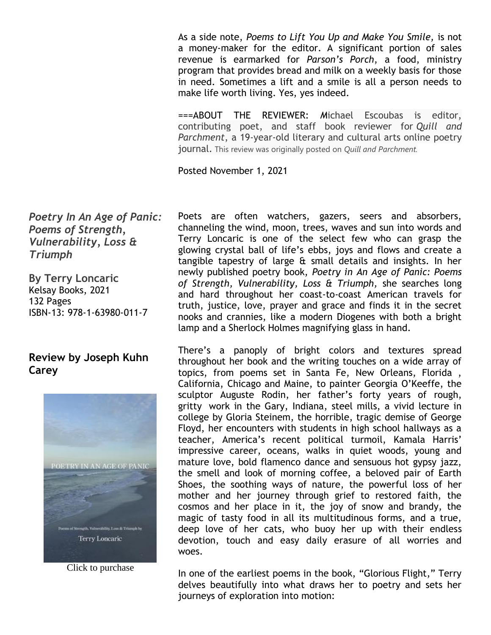As a side note, *Poems to Lift You Up and Make You Smile,* is not a money-maker for the editor. A significant portion of sales revenue is earmarked for *Parson's Porch*, a food, ministry program that provides bread and milk on a weekly basis for those in need. Sometimes a lift and a smile is all a person needs to make life worth living. Yes, yes indeed.

===ABOUT THE REVIEWER: *M*ichael Escoubas is editor, contributing poet, and staff book reviewer for *Quill and Parchment*, a 19-year-old literary and cultural arts online poetry journal. This review was originally posted on *Quill and Parchment.*

Posted November 1, 2021

*Poetry In An Age of Panic: Poems of Strength, Vulnerability, Loss & Triumph*

**By Terry Loncaric** Kelsay Books, 2021 132 Pages ISBN-13: 978-1-63980-011-7

# **Review by Joseph Kuhn Carey**



Click to purchase

Poets are often watchers, gazers, seers and absorbers, channeling the wind, moon, trees, waves and sun into words and Terry Loncaric is one of the select few who can grasp the glowing crystal ball of life's ebbs, joys and flows and create a tangible tapestry of large & small details and insights. In her newly published poetry book, *Poetry in An Age of Panic: Poems of Strength, Vulnerability, Loss & Triumph,* she searches long and hard throughout her coast-to-coast American travels for truth, justice, love, prayer and grace and finds it in the secret nooks and crannies, like a modern Diogenes with both a bright lamp and a Sherlock Holmes magnifying glass in hand.

There's a panoply of bright colors and textures spread throughout her book and the writing touches on a wide array of topics, from poems set in Santa Fe, New Orleans, Florida , California, Chicago and Maine, to painter Georgia O'Keeffe, the sculptor Auguste Rodin, her father's forty years of rough, gritty work in the Gary, Indiana, steel mills, a vivid lecture in college by Gloria Steinem, the horrible, tragic demise of George Floyd, her encounters with students in high school hallways as a teacher, America's recent political turmoil, Kamala Harris' impressive career, oceans, walks in quiet woods, young and mature love, bold flamenco dance and sensuous hot gypsy jazz, the smell and look of morning coffee, a beloved pair of Earth Shoes, the soothing ways of nature, the powerful loss of her mother and her journey through grief to restored faith, the cosmos and her place in it, the joy of snow and brandy, the magic of tasty food in all its multitudinous forms, and a true, deep love of her cats, who buoy her up with their endless devotion, touch and easy daily erasure of all worries and woes.

In one of the earliest poems in the book, "Glorious Flight," Terry delves beautifully into what draws her to poetry and sets her journeys of exploration into motion: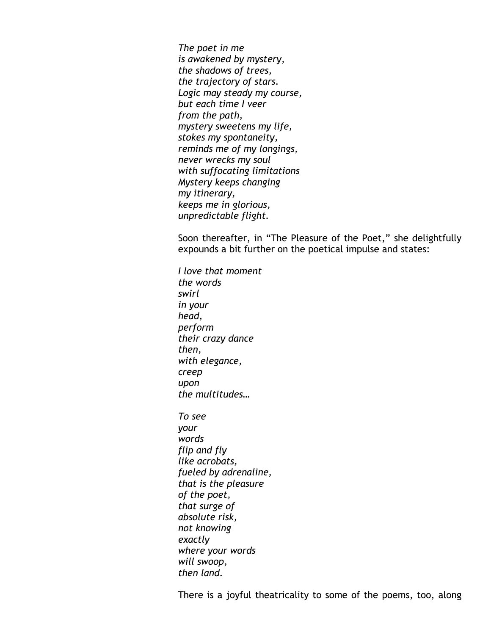*The poet in me is awakened by mystery, the shadows of trees, the trajectory of stars. Logic may steady my course, but each time I veer from the path, mystery sweetens my life, stokes my spontaneity, reminds me of my longings, never wrecks my soul with suffocating limitations Mystery keeps changing my itinerary, keeps me in glorious, unpredictable flight.*

Soon thereafter, in "The Pleasure of the Poet," she delightfully expounds a bit further on the poetical impulse and states:

*I love that moment the words swirl in your head, perform their crazy dance then, with elegance, creep upon the multitudes… To see your words flip and fly like acrobats, fueled by adrenaline, that is the pleasure of the poet, that surge of absolute risk, not knowing exactly where your words will swoop, then land.*

There is a joyful theatricality to some of the poems, too, along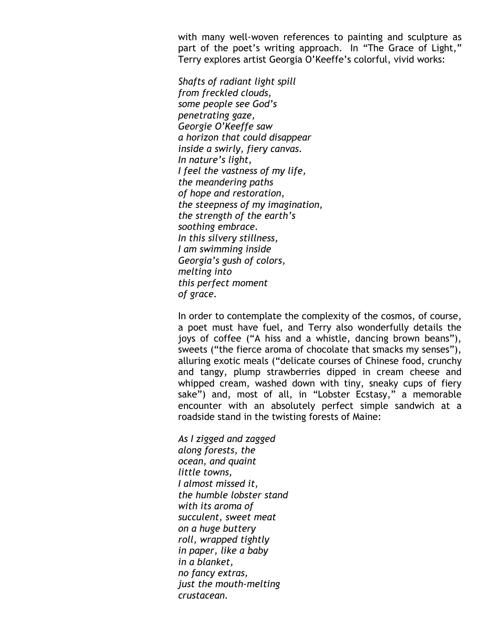with many well-woven references to painting and sculpture as part of the poet's writing approach. In "The Grace of Light," Terry explores artist Georgia O'Keeffe's colorful, vivid works:

*Shafts of radiant light spill from freckled clouds, some people see God's penetrating gaze, Georgie O'Keeffe saw a horizon that could disappear inside a swirly, fiery canvas. In nature's light, I feel the vastness of my life, the meandering paths of hope and restoration, the steepness of my imagination, the strength of the earth's soothing embrace. In this silvery stillness, I am swimming inside Georgia's gush of colors, melting into this perfect moment of grace.*

In order to contemplate the complexity of the cosmos, of course, a poet must have fuel, and Terry also wonderfully details the joys of coffee ("A hiss and a whistle, dancing brown beans"), sweets ("the fierce aroma of chocolate that smacks my senses"), alluring exotic meals ("delicate courses of Chinese food, crunchy and tangy, plump strawberries dipped in cream cheese and whipped cream, washed down with tiny, sneaky cups of fiery sake") and, most of all, in "Lobster Ecstasy," a memorable encounter with an absolutely perfect simple sandwich at a roadside stand in the twisting forests of Maine:

*As I zigged and zagged along forests, the ocean, and quaint little towns, I almost missed it, the humble lobster stand with its aroma of succulent, sweet meat on a huge buttery roll, wrapped tightly in paper, like a baby in a blanket, no fancy extras, just the mouth-melting crustacean.*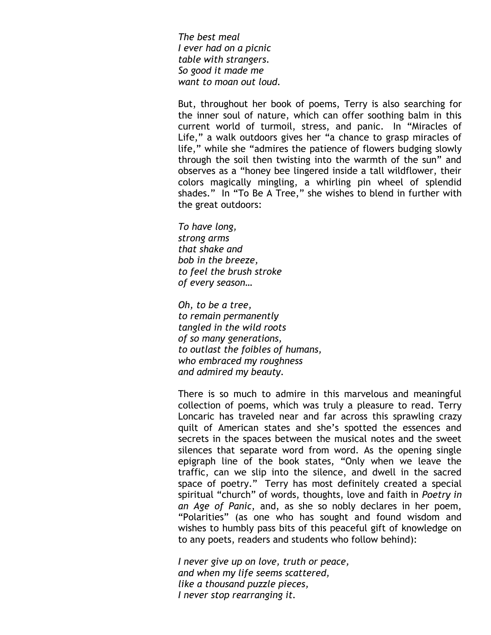*The best meal I ever had on a picnic table with strangers. So good it made me want to moan out loud.*

But, throughout her book of poems, Terry is also searching for the inner soul of nature, which can offer soothing balm in this current world of turmoil, stress, and panic. In "Miracles of Life," a walk outdoors gives her "a chance to grasp miracles of life," while she "admires the patience of flowers budging slowly through the soil then twisting into the warmth of the sun" and observes as a "honey bee lingered inside a tall wildflower, their colors magically mingling, a whirling pin wheel of splendid shades." In "To Be A Tree," she wishes to blend in further with the great outdoors:

*To have long, strong arms that shake and bob in the breeze, to feel the brush stroke of every season…*

*Oh, to be a tree, to remain permanently tangled in the wild roots of so many generations, to outlast the foibles of humans, who embraced my roughness and admired my beauty.*

There is so much to admire in this marvelous and meaningful collection of poems, which was truly a pleasure to read. Terry Loncaric has traveled near and far across this sprawling crazy quilt of American states and she's spotted the essences and secrets in the spaces between the musical notes and the sweet silences that separate word from word. As the opening single epigraph line of the book states, "Only when we leave the traffic, can we slip into the silence, and dwell in the sacred space of poetry." Terry has most definitely created a special spiritual "church" of words, thoughts, love and faith in *Poetry in an Age of Panic*, and, as she so nobly declares in her poem, "Polarities" (as one who has sought and found wisdom and wishes to humbly pass bits of this peaceful gift of knowledge on to any poets, readers and students who follow behind):

*I never give up on love, truth or peace, and when my life seems scattered, like a thousand puzzle pieces, I never stop rearranging it.*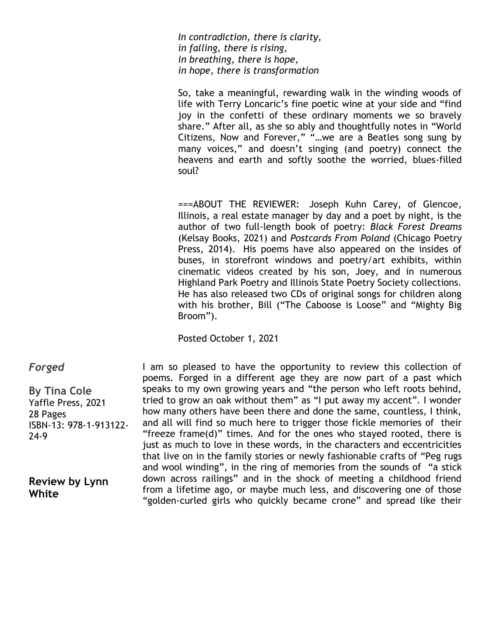*In contradiction, there is clarity, in falling, there is rising, in breathing, there is hope, in hope, there is transformation*

So, take a meaningful, rewarding walk in the winding woods of life with Terry Loncaric's fine poetic wine at your side and "find joy in the confetti of these ordinary moments we so bravely share." After all, as she so ably and thoughtfully notes in "World Citizens, Now and Forever," "…we are a Beatles song sung by many voices," and doesn't singing (and poetry) connect the heavens and earth and softly soothe the worried, blues-filled soul?

===ABOUT THE REVIEWER: Joseph Kuhn Carey, of Glencoe, Illinois, a real estate manager by day and a poet by night, is the author of two full-length book of poetry: *Black Forest Dreams* (Kelsay Books, 2021) and *Postcards From Poland* (Chicago Poetry Press, 2014). His poems have also appeared on the insides of buses, in storefront windows and poetry/art exhibits, within cinematic videos created by his son, Joey, and in numerous Highland Park Poetry and Illinois State Poetry Society collections. He has also released two CDs of original songs for children along with his brother, Bill ("The Caboose is Loose" and "Mighty Big Broom").

Posted October 1, 2021

*Forged*

**By Tina Cole** Yaffle Press, 2021 28 Pages ISBN-13: 978-1-913122- 24-9

**Review by Lynn White**

I am so pleased to have the opportunity to review this collection of poems. Forged in a different age they are now part of a past which speaks to my own growing years and "the person who left roots behind, tried to grow an oak without them" as "I put away my accent". I wonder how many others have been there and done the same, countless, I think, and all will find so much here to trigger those fickle memories of their "freeze frame(d)" times. And for the ones who stayed rooted, there is just as much to love in these words, in the characters and eccentricities that live on in the family stories or newly fashionable crafts of "Peg rugs and wool winding", in the ring of memories from the sounds of "a stick down across railings" and in the shock of meeting a childhood friend from a lifetime ago, or maybe much less, and discovering one of those "golden-curled girls who quickly became crone" and spread like their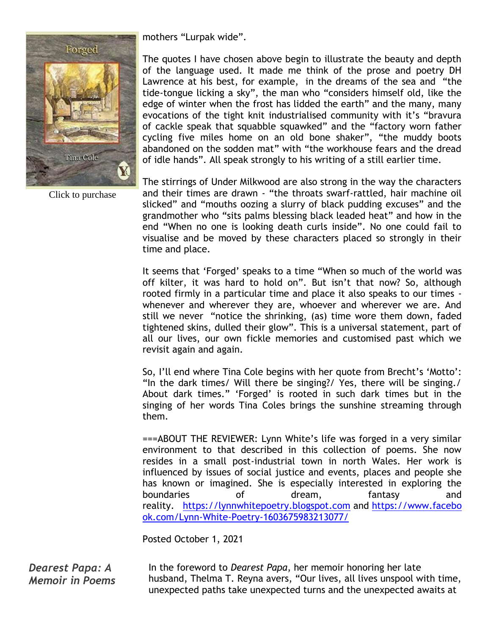

Click to purchase

mothers "Lurpak wide".

The quotes I have chosen above begin to illustrate the beauty and depth of the language used. It made me think of the prose and poetry DH Lawrence at his best, for example, in the dreams of the sea and "the tide-tongue licking a sky", the man who "considers himself old, like the edge of winter when the frost has lidded the earth" and the many, many evocations of the tight knit industrialised community with it's "bravura of cackle speak that squabble squawked" and the "factory worn father cycling five miles home on an old bone shaker", "the muddy boots abandoned on the sodden mat" with "the workhouse fears and the dread of idle hands". All speak strongly to his writing of a still earlier time.

The stirrings of Under Milkwood are also strong in the way the characters and their times are drawn - "the throats swarf-rattled, hair machine oil slicked" and "mouths oozing a slurry of black pudding excuses" and the grandmother who "sits palms blessing black leaded heat" and how in the end "When no one is looking death curls inside". No one could fail to visualise and be moved by these characters placed so strongly in their time and place.

It seems that 'Forged' speaks to a time "When so much of the world was off kilter, it was hard to hold on". But isn't that now? So, although rooted firmly in a particular time and place it also speaks to our times whenever and wherever they are, whoever and wherever we are. And still we never "notice the shrinking, (as) time wore them down, faded tightened skins, dulled their glow". This is a universal statement, part of all our lives, our own fickle memories and customised past which we revisit again and again.

So, I'll end where Tina Cole begins with her quote from Brecht's 'Motto': "In the dark times/ Will there be singing?/ Yes, there will be singing./ About dark times." 'Forged' is rooted in such dark times but in the singing of her words Tina Coles brings the sunshine streaming through them.

===ABOUT THE REVIEWER: Lynn White's life was forged in a very similar environment to that described in this collection of poems. She now resides in a small post-industrial town in north Wales. Her work is influenced by issues of social justice and events, places and people she has known or imagined. She is especially interested in exploring the boundaries of dream, fantasy and reality. [https://lynnwhitepoetry.blogspot.com](https://lynnwhitepoetry.blogspot.com/) and [https://www.facebo](https://www.facebook.com/Lynn-White-Poetry-1603675983213077/) [ok.com/Lynn-White-Poetry-1603675983213077/](https://www.facebook.com/Lynn-White-Poetry-1603675983213077/)

Posted October 1, 2021

*Dearest Papa: A Memoir in Poems* In the foreword to *Dearest Papa*, her memoir honoring her late husband, Thelma T. Reyna avers, "Our lives, all lives unspool with time, unexpected paths take unexpected turns and the unexpected awaits at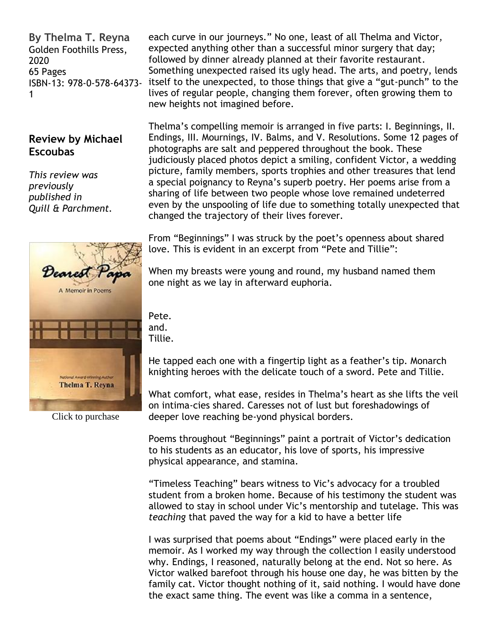**By Thelma T. Reyna** Golden Foothills Press, 2020 65 Pages ISBN-13: 978-0-578-64373- 1

## **Review by Michael Escoubas**

*This review was previously published in Quill & Parchment.*



Click to purchase

each curve in our journeys." No one, least of all Thelma and Victor, expected anything other than a successful minor surgery that day; followed by dinner already planned at their favorite restaurant. Something unexpected raised its ugly head. The arts, and poetry, lends itself to the unexpected, to those things that give a "gut-punch" to the lives of regular people, changing them forever, often growing them to new heights not imagined before.

Thelma's compelling memoir is arranged in five parts: I. Beginnings, II. Endings, III. Mournings, IV. Balms, and V. Resolutions. Some 12 pages of photographs are salt and peppered throughout the book. These judiciously placed photos depict a smiling, confident Victor, a wedding picture, family members, sports trophies and other treasures that lend a special poignancy to Reyna's superb poetry. Her poems arise from a sharing of life between two people whose love remained undeterred even by the unspooling of life due to something totally unexpected that changed the trajectory of their lives forever.

From "Beginnings" I was struck by the poet's openness about shared love. This is evident in an excerpt from "Pete and Tillie":

When my breasts were young and round, my husband named them one night as we lay in afterward euphoria.

Pete. and. Tillie.

He tapped each one with a fingertip light as a feather's tip. Monarch knighting heroes with the delicate touch of a sword. Pete and Tillie.

What comfort, what ease, resides in Thelma's heart as she lifts the veil on intima-cies shared. Caresses not of lust but foreshadowings of deeper love reaching be-yond physical borders.

Poems throughout "Beginnings" paint a portrait of Victor's dedication to his students as an educator, his love of sports, his impressive physical appearance, and stamina.

"Timeless Teaching" bears witness to Vic's advocacy for a troubled student from a broken home. Because of his testimony the student was allowed to stay in school under Vic's mentorship and tutelage. This was *teaching* that paved the way for a kid to have a better life

I was surprised that poems about "Endings" were placed early in the memoir. As I worked my way through the collection I easily understood why. Endings, I reasoned, naturally belong at the end. Not so here. As Victor walked barefoot through his house one day, he was bitten by the family cat. Victor thought nothing of it, said nothing. I would have done the exact same thing. The event was like a comma in a sentence,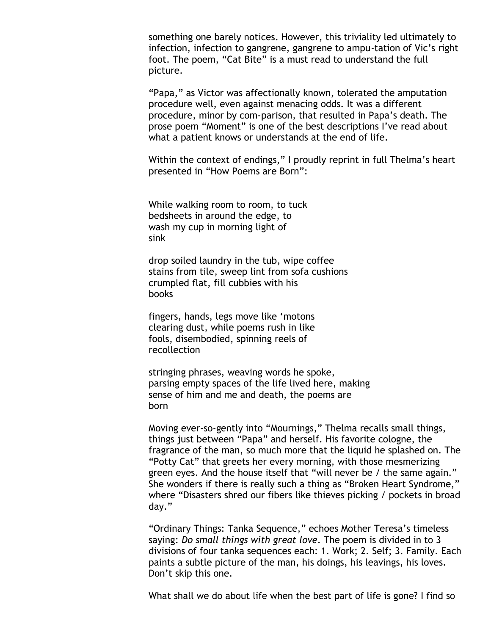something one barely notices. However, this triviality led ultimately to infection, infection to gangrene, gangrene to ampu-tation of Vic's right foot. The poem, "Cat Bite" is a must read to understand the full picture.

"Papa," as Victor was affectionally known, tolerated the amputation procedure well, even against menacing odds. It was a different procedure, minor by com-parison, that resulted in Papa's death. The prose poem "Moment" is one of the best descriptions I've read about what a patient knows or understands at the end of life.

Within the context of endings," I proudly reprint in full Thelma's heart presented in "How Poems are Born":

While walking room to room, to tuck bedsheets in around the edge, to wash my cup in morning light of sink

drop soiled laundry in the tub, wipe coffee stains from tile, sweep lint from sofa cushions crumpled flat, fill cubbies with his books

fingers, hands, legs move like 'motons clearing dust, while poems rush in like fools, disembodied, spinning reels of recollection

stringing phrases, weaving words he spoke, parsing empty spaces of the life lived here, making sense of him and me and death, the poems are born

Moving ever-so-gently into "Mournings," Thelma recalls small things, things just between "Papa" and herself. His favorite cologne, the fragrance of the man, so much more that the liquid he splashed on. The "Potty Cat" that greets her every morning, with those mesmerizing green eyes. And the house itself that "will never be / the same again." She wonders if there is really such a thing as "Broken Heart Syndrome," where "Disasters shred our fibers like thieves picking / pockets in broad day."

"Ordinary Things: Tanka Sequence," echoes Mother Teresa's timeless saying: *Do small things with great love*. The poem is divided in to 3 divisions of four tanka sequences each: 1. Work; 2. Self; 3. Family. Each paints a subtle picture of the man, his doings, his leavings, his loves. Don't skip this one.

What shall we do about life when the best part of life is gone? I find so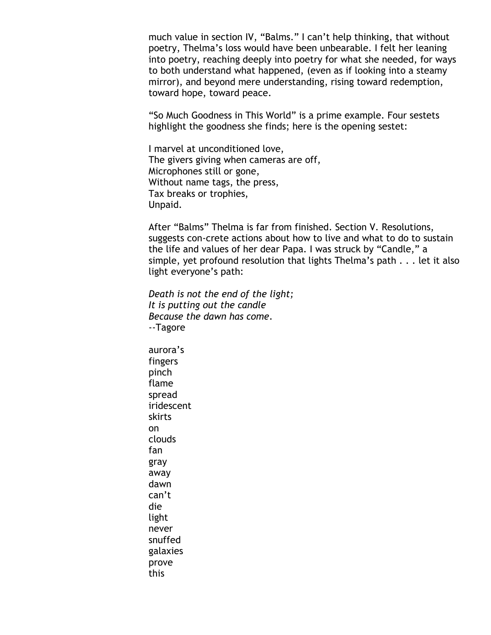much value in section IV, "Balms." I can't help thinking, that without poetry, Thelma's loss would have been unbearable. I felt her leaning into poetry, reaching deeply into poetry for what she needed, for ways to both understand what happened, (even as if looking into a steamy mirror), and beyond mere understanding, rising toward redemption, toward hope, toward peace.

"So Much Goodness in This World" is a prime example. Four sestets highlight the goodness she finds; here is the opening sestet:

I marvel at unconditioned love, The givers giving when cameras are off, Microphones still or gone, Without name tags, the press, Tax breaks or trophies, Unpaid.

After "Balms" Thelma is far from finished. Section V. Resolutions, suggests con-crete actions about how to live and what to do to sustain the life and values of her dear Papa. I was struck by "Candle," a simple, yet profound resolution that lights Thelma's path . . . let it also light everyone's path:

*Death is not the end of the light; It is putting out the candle Because the dawn has come*. --Tagore

aurora's fingers pinch flame spread iridescent skirts on clouds fan gray away dawn can't die light never snuffed galaxies prove this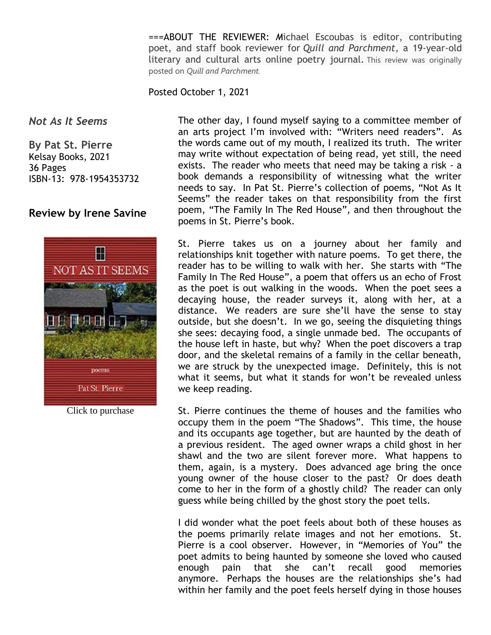===ABOUT THE REVIEWER: *M*ichael Escoubas is editor, contributing poet, and staff book reviewer for *Quill and Parchment*, a 19-year-old literary and cultural arts online poetry journal. This review was originally posted on *Quill and Parchment.*

#### Posted October 1, 2021

#### *Not As It Seems*

**By Pat St. Pierre** Kelsay Books, 2021 36 Pages ISBN-13: 978-1954353732

## **Review by Irene Savine**



Click to purchase

The other day, I found myself saying to a committee member of an arts project I'm involved with: "Writers need readers". As the words came out of my mouth, I realized its truth. The writer may write without expectation of being read, yet still, the need exists. The reader who meets that need may be taking a risk - a book demands a responsibility of witnessing what the writer needs to say. In Pat St. Pierre's collection of poems, "Not As It Seems" the reader takes on that responsibility from the first poem, "The Family In The Red House", and then throughout the poems in St. Pierre's book.

St. Pierre takes us on a journey about her family and relationships knit together with nature poems. To get there, the reader has to be willing to walk with her. She starts with "The Family In The Red House", a poem that offers us an echo of Frost as the poet is out walking in the woods. When the poet sees a decaying house, the reader surveys it, along with her, at a distance. We readers are sure she'll have the sense to stay outside, but she doesn't. In we go, seeing the disquieting things she sees: decaying food, a single unmade bed. The occupants of the house left in haste, but why? When the poet discovers a trap door, and the skeletal remains of a family in the cellar beneath, we are struck by the unexpected image. Definitely, this is not what it seems, but what it stands for won't be revealed unless we keep reading.

St. Pierre continues the theme of houses and the families who occupy them in the poem "The Shadows". This time, the house and its occupants age together, but are haunted by the death of a previous resident. The aged owner wraps a child ghost in her shawl and the two are silent forever more. What happens to them, again, is a mystery. Does advanced age bring the once young owner of the house closer to the past? Or does death come to her in the form of a ghostly child? The reader can only guess while being chilled by the ghost story the poet tells.

I did wonder what the poet feels about both of these houses as the poems primarily relate images and not her emotions. St. Pierre is a cool observer. However, in "Memories of You" the poet admits to being haunted by someone she loved who caused enough pain that she can't recall good memories anymore. Perhaps the houses are the relationships she's had within her family and the poet feels herself dying in those houses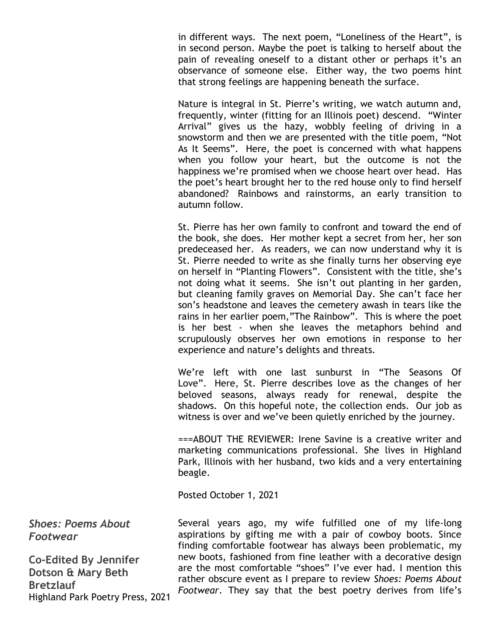in different ways. The next poem, "Loneliness of the Heart", is in second person. Maybe the poet is talking to herself about the pain of revealing oneself to a distant other or perhaps it's an observance of someone else. Either way, the two poems hint that strong feelings are happening beneath the surface.

Nature is integral in St. Pierre's writing, we watch autumn and, frequently, winter (fitting for an Illinois poet) descend. "Winter Arrival" gives us the hazy, wobbly feeling of driving in a snowstorm and then we are presented with the title poem, "Not As It Seems". Here, the poet is concerned with what happens when you follow your heart, but the outcome is not the happiness we're promised when we choose heart over head. Has the poet's heart brought her to the red house only to find herself abandoned? Rainbows and rainstorms, an early transition to autumn follow.

St. Pierre has her own family to confront and toward the end of the book, she does. Her mother kept a secret from her, her son predeceased her. As readers, we can now understand why it is St. Pierre needed to write as she finally turns her observing eye on herself in "Planting Flowers". Consistent with the title, she's not doing what it seems. She isn't out planting in her garden, but cleaning family graves on Memorial Day. She can't face her son's headstone and leaves the cemetery awash in tears like the rains in her earlier poem,"The Rainbow". This is where the poet is her best - when she leaves the metaphors behind and scrupulously observes her own emotions in response to her experience and nature's delights and threats.

We're left with one last sunburst in "The Seasons Of Love". Here, St. Pierre describes love as the changes of her beloved seasons, always ready for renewal, despite the shadows. On this hopeful note, the collection ends. Our job as witness is over and we've been quietly enriched by the journey.

===ABOUT THE REVIEWER: Irene Savine is a creative writer and marketing communications professional. She lives in Highland Park, Illinois with her husband, two kids and a very entertaining beagle.

Posted October 1, 2021

*Shoes: Poems About Footwear*

**Co-Edited By Jennifer Dotson & Mary Beth Bretzlauf** Highland Park Poetry Press, 2021

Several years ago, my wife fulfilled one of my life-long aspirations by gifting me with a pair of cowboy boots. Since finding comfortable footwear has always been problematic, my new boots, fashioned from fine leather with a decorative design are the most comfortable "shoes" I've ever had. I mention this rather obscure event as I prepare to review *Shoes: Poems About Footwear*. They say that the best poetry derives from life's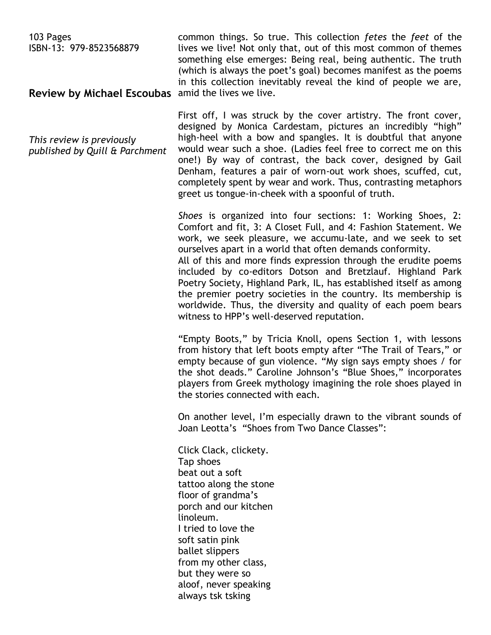103 Pages ISBN-13: 979-8523568879 **Review by Michael Escoubas** amid the lives we live. common things. So true. This collection *fetes* the *feet* of the lives we live! Not only that, out of this most common of themes something else emerges: Being real, being authentic. The truth (which is always the poet's goal) becomes manifest as the poems in this collection inevitably reveal the kind of people we are,

*This review is previously published by Quill & Parchment* First off, I was struck by the cover artistry. The front cover, designed by Monica Cardestam, pictures an incredibly "high" high-heel with a bow and spangles. It is doubtful that anyone would wear such a shoe. (Ladies feel free to correct me on this one!) By way of contrast, the back cover, designed by Gail Denham, features a pair of worn-out work shoes, scuffed, cut, completely spent by wear and work. Thus, contrasting metaphors greet us tongue-in-cheek with a spoonful of truth.

*Shoes* is organized into four sections: 1: Working Shoes, 2: Comfort and fit, 3: A Closet Full, and 4: Fashion Statement. We work, we seek pleasure, we accumu-late, and we seek to set ourselves apart in a world that often demands conformity. All of this and more finds expression through the erudite poems included by co-editors Dotson and Bretzlauf. Highland Park Poetry Society, Highland Park, IL, has established itself as among the premier poetry societies in the country. Its membership is worldwide. Thus, the diversity and quality of each poem bears witness to HPP's well-deserved reputation.

"Empty Boots," by Tricia Knoll, opens Section 1, with lessons from history that left boots empty after "The Trail of Tears," or empty because of gun violence. "My sign says empty shoes / for the shot deads." Caroline Johnson's "Blue Shoes," incorporates players from Greek mythology imagining the role shoes played in the stories connected with each.

On another level, I'm especially drawn to the vibrant sounds of Joan Leotta's "Shoes from Two Dance Classes":

Click Clack, clickety. Tap shoes beat out a soft tattoo along the stone floor of grandma's porch and our kitchen linoleum. I tried to love the soft satin pink ballet slippers from my other class, but they were so aloof, never speaking always tsk tsking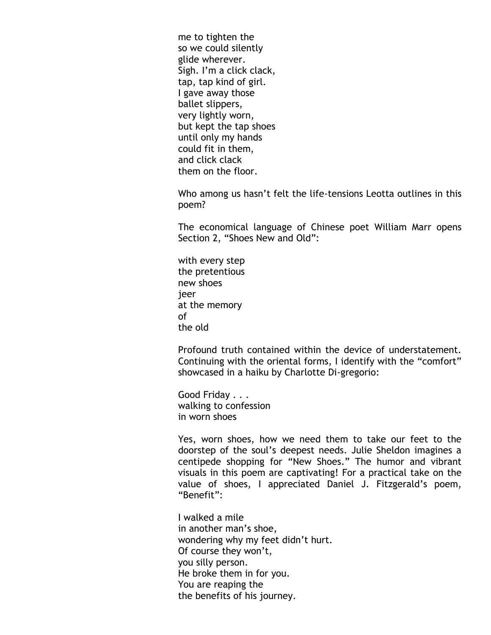me to tighten the so we could silently glide wherever. Sigh. I'm a click clack, tap, tap kind of girl. I gave away those ballet slippers, very lightly worn, but kept the tap shoes until only my hands could fit in them, and click clack them on the floor.

Who among us hasn't felt the life-tensions Leotta outlines in this poem?

The economical language of Chinese poet William Marr opens Section 2, "Shoes New and Old":

with every step the pretentious new shoes jeer at the memory of the old

Profound truth contained within the device of understatement. Continuing with the oriental forms, I identify with the "comfort" showcased in a haiku by Charlotte Di-gregorio:

Good Friday . . . walking to confession in worn shoes

Yes, worn shoes, how we need them to take our feet to the doorstep of the soul's deepest needs. Julie Sheldon imagines a centipede shopping for "New Shoes." The humor and vibrant visuals in this poem are captivating! For a practical take on the value of shoes, I appreciated Daniel J. Fitzgerald's poem, "Benefit":

I walked a mile in another man's shoe, wondering why my feet didn't hurt. Of course they won't, you silly person. He broke them in for you. You are reaping the the benefits of his journey.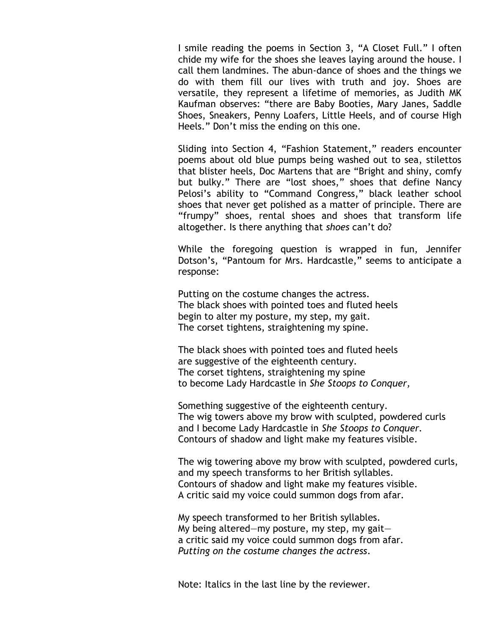I smile reading the poems in Section 3, "A Closet Full." I often chide my wife for the shoes she leaves laying around the house. I call them landmines. The abun-dance of shoes and the things we do with them fill our lives with truth and joy. Shoes are versatile, they represent a lifetime of memories, as Judith MK Kaufman observes: "there are Baby Booties, Mary Janes, Saddle Shoes, Sneakers, Penny Loafers, Little Heels, and of course High Heels." Don't miss the ending on this one.

Sliding into Section 4, "Fashion Statement," readers encounter poems about old blue pumps being washed out to sea, stilettos that blister heels, Doc Martens that are "Bright and shiny, comfy but bulky." There are "lost shoes," shoes that define Nancy Pelosi's ability to "Command Congress," black leather school shoes that never get polished as a matter of principle. There are "frumpy" shoes, rental shoes and shoes that transform life altogether. Is there anything that *shoes* can't do?

While the foregoing question is wrapped in fun, Jennifer Dotson's, "Pantoum for Mrs. Hardcastle," seems to anticipate a response:

Putting on the costume changes the actress. The black shoes with pointed toes and fluted heels begin to alter my posture, my step, my gait. The corset tightens, straightening my spine.

The black shoes with pointed toes and fluted heels are suggestive of the eighteenth century. The corset tightens, straightening my spine to become Lady Hardcastle in *She Stoops to Conquer,*

Something suggestive of the eighteenth century. The wig towers above my brow with sculpted, powdered curls and I become Lady Hardcastle in *She Stoops to Conquer.* Contours of shadow and light make my features visible.

The wig towering above my brow with sculpted, powdered curls, and my speech transforms to her British syllables. Contours of shadow and light make my features visible. A critic said my voice could summon dogs from afar.

My speech transformed to her British syllables. My being altered—my posture, my step, my gait a critic said my voice could summon dogs from afar. *Putting on the costume changes the actress*.

Note: Italics in the last line by the reviewer.